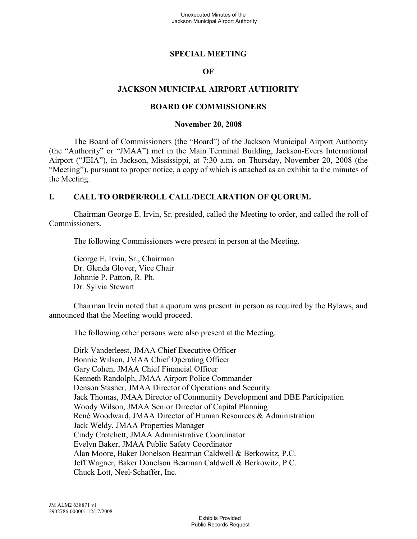### **SPECIAL MEETING**

#### **OF**

#### **JACKSON MUNICIPAL AIRPORT AUTHORITY**

#### **BOARD OF COMMISSIONERS**

#### **November 20, 2008**

The Board of Commissioners (the "Board") of the Jackson Municipal Airport Authority (the "Authority" or "JMAA") met in the Main Terminal Building, Jackson-Evers International Airport ("JEIA"), in Jackson, Mississippi, at 7:30 a.m. on Thursday, November 20, 2008 (the "Meeting"), pursuant to proper notice, a copy of which is attached as an exhibit to the minutes of the Meeting.

#### **I. CALL TO ORDER/ROLL CALL/DECLARATION OF QUORUM.**

Chairman George E. Irvin, Sr. presided, called the Meeting to order, and called the roll of Commissioners.

The following Commissioners were present in person at the Meeting.

George E. Irvin, Sr., Chairman Dr. Glenda Glover, Vice Chair Johnnie P. Patton, R. Ph. Dr. Sylvia Stewart

Chairman Irvin noted that a quorum was present in person as required by the Bylaws, and announced that the Meeting would proceed.

The following other persons were also present at the Meeting.

Dirk Vanderleest, JMAA Chief Executive Officer Bonnie Wilson, JMAA Chief Operating Officer Gary Cohen, JMAA Chief Financial Officer Kenneth Randolph, JMAA Airport Police Commander Denson Stasher, JMAA Director of Operations and Security Jack Thomas, JMAA Director of Community Development and DBE Participation Woody Wilson, JMAA Senior Director of Capital Planning René Woodward, JMAA Director of Human Resources & Administration Jack Weldy, JMAA Properties Manager Cindy Crotchett, JMAA Administrative Coordinator Evelyn Baker, JMAA Public Safety Coordinator Alan Moore, Baker Donelson Bearman Caldwell & Berkowitz, P.C. Jeff Wagner, Baker Donelson Bearman Caldwell & Berkowitz, P.C. Chuck Lott, Neel-Schaffer, Inc.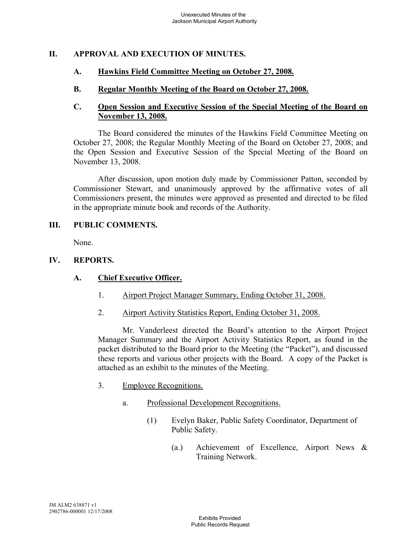# **II. APPROVAL AND EXECUTION OF MINUTES.**

### **A. Hawkins Field Committee Meeting on October 27, 2008.**

**B. Regular Monthly Meeting of the Board on October 27, 2008.**

### **C. Open Session and Executive Session of the Special Meeting of the Board on November 13, 2008.**

The Board considered the minutes of the Hawkins Field Committee Meeting on October 27, 2008; the Regular Monthly Meeting of the Board on October 27, 2008; and the Open Session and Executive Session of the Special Meeting of the Board on November 13, 2008.

After discussion, upon motion duly made by Commissioner Patton, seconded by Commissioner Stewart, and unanimously approved by the affirmative votes of all Commissioners present, the minutes were approved as presented and directed to be filed in the appropriate minute book and records of the Authority.

#### **III. PUBLIC COMMENTS.**

None.

### **IV. REPORTS.**

#### **A. Chief Executive Officer.**

- 1. Airport Project Manager Summary, Ending October 31, 2008.
- 2. Airport Activity Statistics Report, Ending October 31, 2008.

Mr. Vanderleest directed the Board's attention to the Airport Project Manager Summary and the Airport Activity Statistics Report, as found in the packet distributed to the Board prior to the Meeting (the "Packet"), and discussed these reports and various other projects with the Board. A copy of the Packet is attached as an exhibit to the minutes of the Meeting.

- 3. Employee Recognitions.
	- a. Professional Development Recognitions.
		- (1) Evelyn Baker, Public Safety Coordinator, Department of Public Safety.
			- (a.) Achievement of Excellence, Airport News & Training Network.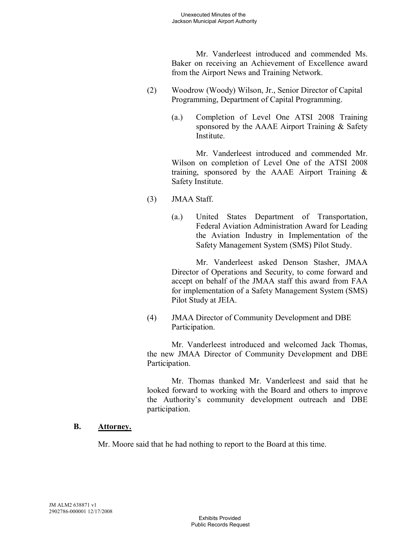Mr. Vanderleest introduced and commended Ms. Baker on receiving an Achievement of Excellence award from the Airport News and Training Network.

- (2) Woodrow (Woody) Wilson, Jr., Senior Director of Capital Programming, Department of Capital Programming.
	- (a.) Completion of Level One ATSI 2008 Training sponsored by the AAAE Airport Training & Safety Institute.

Mr. Vanderleest introduced and commended Mr. Wilson on completion of Level One of the ATSI 2008 training, sponsored by the AAAE Airport Training & Safety Institute.

- (3) JMAA Staff.
	- (a.) United States Department of Transportation, Federal Aviation Administration Award for Leading the Aviation Industry in Implementation of the Safety Management System (SMS) Pilot Study.

Mr. Vanderleest asked Denson Stasher, JMAA Director of Operations and Security, to come forward and accept on behalf of the JMAA staff this award from FAA for implementation of a Safety Management System (SMS) Pilot Study at JEIA.

(4) JMAA Director of Community Development and DBE Participation.

Mr. Vanderleest introduced and welcomed Jack Thomas, the new JMAA Director of Community Development and DBE Participation.

Mr. Thomas thanked Mr. Vanderleest and said that he looked forward to working with the Board and others to improve the Authority's community development outreach and DBE participation.

# **B. Attorney.**

Mr. Moore said that he had nothing to report to the Board at this time.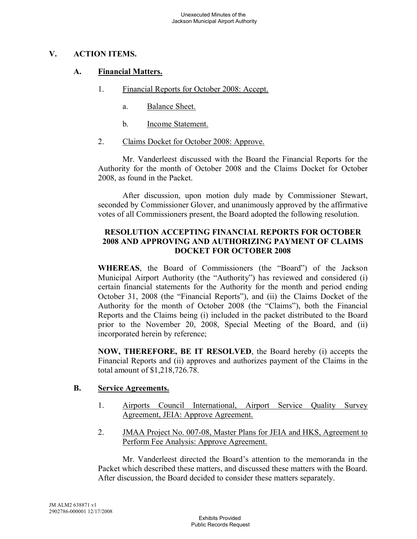# **V. ACTION ITEMS.**

# **A. Financial Matters.**

- 1. Financial Reports for October 2008: Accept.
	- a. Balance Sheet.
	- b. Income Statement.
- 2. Claims Docket for October 2008: Approve.

Mr. Vanderleest discussed with the Board the Financial Reports for the Authority for the month of October 2008 and the Claims Docket for October 2008, as found in the Packet.

After discussion, upon motion duly made by Commissioner Stewart, seconded by Commissioner Glover, and unanimously approved by the affirmative votes of all Commissioners present, the Board adopted the following resolution.

### **RESOLUTION ACCEPTING FINANCIAL REPORTS FOR OCTOBER 2008 AND APPROVING AND AUTHORIZING PAYMENT OF CLAIMS DOCKET FOR OCTOBER 2008**

**WHEREAS**, the Board of Commissioners (the "Board") of the Jackson Municipal Airport Authority (the "Authority") has reviewed and considered (i) certain financial statements for the Authority for the month and period ending October 31, 2008 (the "Financial Reports"), and (ii) the Claims Docket of the Authority for the month of October 2008 (the "Claims"), both the Financial Reports and the Claims being (i) included in the packet distributed to the Board prior to the November 20, 2008, Special Meeting of the Board, and (ii) incorporated herein by reference;

**NOW, THEREFORE, BE IT RESOLVED**, the Board hereby (i) accepts the Financial Reports and (ii) approves and authorizes payment of the Claims in the total amount of \$1,218,726.78.

#### **B. Service Agreements.**

- 1. Airports Council International, Airport Service Quality Survey Agreement, JEIA: Approve Agreement.
- 2. JMAA Project No. 007-08, Master Plans for JEIA and HKS, Agreement to Perform Fee Analysis: Approve Agreement.

Mr. Vanderleest directed the Board's attention to the memoranda in the Packet which described these matters, and discussed these matters with the Board. After discussion, the Board decided to consider these matters separately.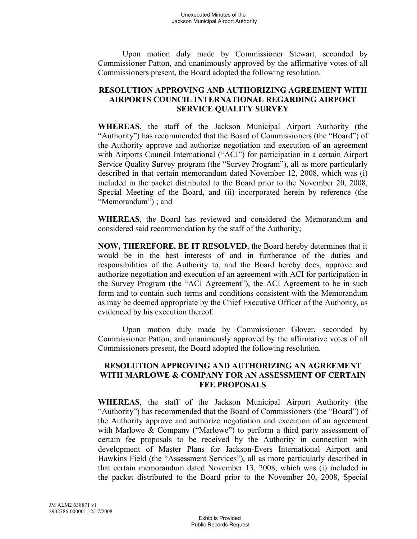Upon motion duly made by Commissioner Stewart, seconded by Commissioner Patton, and unanimously approved by the affirmative votes of all Commissioners present, the Board adopted the following resolution.

# **RESOLUTION APPROVING AND AUTHORIZING AGREEMENT WITH AIRPORTS COUNCIL INTERNATIONAL REGARDING AIRPORT SERVICE QUALITY SURVEY**

**WHEREAS**, the staff of the Jackson Municipal Airport Authority (the "Authority") has recommended that the Board of Commissioners (the "Board") of the Authority approve and authorize negotiation and execution of an agreement with Airports Council International ("ACI") for participation in a certain Airport Service Quality Survey program (the "Survey Program"), all as more particularly described in that certain memorandum dated November 12, 2008, which was (i) included in the packet distributed to the Board prior to the November 20, 2008, Special Meeting of the Board, and (ii) incorporated herein by reference (the "Memorandum") ; and

**WHEREAS**, the Board has reviewed and considered the Memorandum and considered said recommendation by the staff of the Authority;

**NOW, THEREFORE, BE IT RESOLVED**, the Board hereby determines that it would be in the best interests of and in furtherance of the duties and responsibilities of the Authority to, and the Board hereby does, approve and authorize negotiation and execution of an agreement with ACI for participation in the Survey Program (the "ACI Agreement"), the ACI Agreement to be in such form and to contain such terms and conditions consistent with the Memorandum as may be deemed appropriate by the Chief Executive Officer of the Authority, as evidenced by his execution thereof.

Upon motion duly made by Commissioner Glover, seconded by Commissioner Patton, and unanimously approved by the affirmative votes of all Commissioners present, the Board adopted the following resolution.

# **RESOLUTION APPROVING AND AUTHORIZING AN AGREEMENT WITH MARLOWE & COMPANY FOR AN ASSESSMENT OF CERTAIN FEE PROPOSALS**

**WHEREAS**, the staff of the Jackson Municipal Airport Authority (the "Authority") has recommended that the Board of Commissioners (the "Board") of the Authority approve and authorize negotiation and execution of an agreement with Marlowe & Company ("Marlowe") to perform a third party assessment of certain fee proposals to be received by the Authority in connection with development of Master Plans for Jackson-Evers International Airport and Hawkins Field (the "Assessment Services"), all as more particularly described in that certain memorandum dated November 13, 2008, which was (i) included in the packet distributed to the Board prior to the November 20, 2008, Special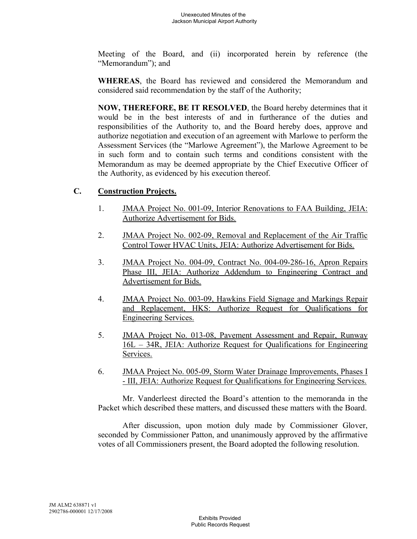Meeting of the Board, and (ii) incorporated herein by reference (the "Memorandum"); and

**WHEREAS**, the Board has reviewed and considered the Memorandum and considered said recommendation by the staff of the Authority;

**NOW, THEREFORE, BE IT RESOLVED**, the Board hereby determines that it would be in the best interests of and in furtherance of the duties and responsibilities of the Authority to, and the Board hereby does, approve and authorize negotiation and execution of an agreement with Marlowe to perform the Assessment Services (the "Marlowe Agreement"), the Marlowe Agreement to be in such form and to contain such terms and conditions consistent with the Memorandum as may be deemed appropriate by the Chief Executive Officer of the Authority, as evidenced by his execution thereof.

## **C. Construction Projects.**

- 1. JMAA Project No. 001-09, Interior Renovations to FAA Building, JEIA: Authorize Advertisement for Bids.
- 2. **JMAA Project No. 002-09, Removal and Replacement of the Air Traffic** Control Tower HVAC Units, JEIA: Authorize Advertisement for Bids.
- 3. JMAA Project No. 004-09, Contract No. 004-09-286-16, Apron Repairs Phase III, JEIA: Authorize Addendum to Engineering Contract and Advertisement for Bids.
- 4. JMAA Project No. 003-09, Hawkins Field Signage and Markings Repair and Replacement, HKS: Authorize Request for Qualifications for Engineering Services.
- 5. JMAA Project No. 013-08, Pavement Assessment and Repair, Runway 16L – 34R, JEIA: Authorize Request for Qualifications for Engineering Services.
- 6. JMAA Project No. 005-09, Storm Water Drainage Improvements, Phases I - III, JEIA: Authorize Request for Qualifications for Engineering Services.

Mr. Vanderleest directed the Board's attention to the memoranda in the Packet which described these matters, and discussed these matters with the Board.

After discussion, upon motion duly made by Commissioner Glover, seconded by Commissioner Patton, and unanimously approved by the affirmative votes of all Commissioners present, the Board adopted the following resolution.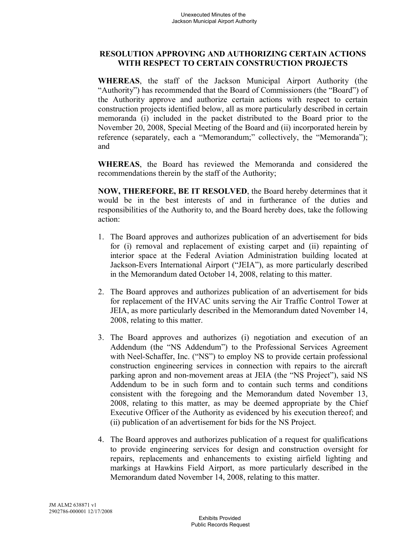# **RESOLUTION APPROVING AND AUTHORIZING CERTAIN ACTIONS WITH RESPECT TO CERTAIN CONSTRUCTION PROJECTS**

**WHEREAS**, the staff of the Jackson Municipal Airport Authority (the "Authority") has recommended that the Board of Commissioners (the "Board") of the Authority approve and authorize certain actions with respect to certain construction projects identified below, all as more particularly described in certain memoranda (i) included in the packet distributed to the Board prior to the November 20, 2008, Special Meeting of the Board and (ii) incorporated herein by reference (separately, each a "Memorandum;" collectively, the "Memoranda"); and

**WHEREAS**, the Board has reviewed the Memoranda and considered the recommendations therein by the staff of the Authority;

**NOW, THEREFORE, BE IT RESOLVED**, the Board hereby determines that it would be in the best interests of and in furtherance of the duties and responsibilities of the Authority to, and the Board hereby does, take the following action:

- 1. The Board approves and authorizes publication of an advertisement for bids for (i) removal and replacement of existing carpet and (ii) repainting of interior space at the Federal Aviation Administration building located at Jackson-Evers International Airport ("JEIA"), as more particularly described in the Memorandum dated October 14, 2008, relating to this matter.
- 2. The Board approves and authorizes publication of an advertisement for bids for replacement of the HVAC units serving the Air Traffic Control Tower at JEIA, as more particularly described in the Memorandum dated November 14, 2008, relating to this matter.
- 3. The Board approves and authorizes (i) negotiation and execution of an Addendum (the "NS Addendum") to the Professional Services Agreement with Neel-Schaffer, Inc. ("NS") to employ NS to provide certain professional construction engineering services in connection with repairs to the aircraft parking apron and non-movement areas at JEIA (the "NS Project"), said NS Addendum to be in such form and to contain such terms and conditions consistent with the foregoing and the Memorandum dated November 13, 2008, relating to this matter, as may be deemed appropriate by the Chief Executive Officer of the Authority as evidenced by his execution thereof; and (ii) publication of an advertisement for bids for the NS Project.
- 4. The Board approves and authorizes publication of a request for qualifications to provide engineering services for design and construction oversight for repairs, replacements and enhancements to existing airfield lighting and markings at Hawkins Field Airport, as more particularly described in the Memorandum dated November 14, 2008, relating to this matter.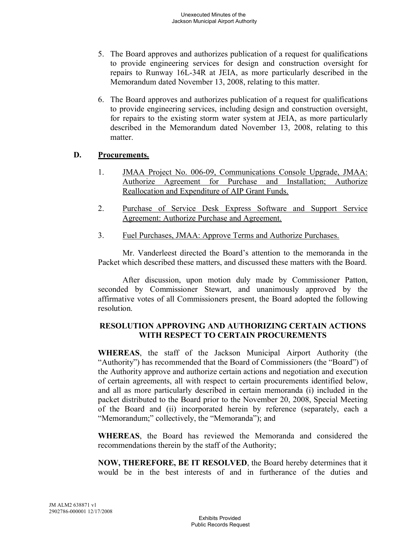- 5. The Board approves and authorizes publication of a request for qualifications to provide engineering services for design and construction oversight for repairs to Runway 16L-34R at JEIA, as more particularly described in the Memorandum dated November 13, 2008, relating to this matter.
- 6. The Board approves and authorizes publication of a request for qualifications to provide engineering services, including design and construction oversight, for repairs to the existing storm water system at JEIA, as more particularly described in the Memorandum dated November 13, 2008, relating to this matter.

# **D. Procurements.**

- 1. JMAA Project No. 006-09, Communications Console Upgrade, JMAA: Authorize Agreement for Purchase and Installation; Authorize Reallocation and Expenditure of AIP Grant Funds.
- 2. Purchase of Service Desk Express Software and Support Service Agreement: Authorize Purchase and Agreement.
- 3. Fuel Purchases, JMAA: Approve Terms and Authorize Purchases.

Mr. Vanderleest directed the Board's attention to the memoranda in the Packet which described these matters, and discussed these matters with the Board.

After discussion, upon motion duly made by Commissioner Patton, seconded by Commissioner Stewart, and unanimously approved by the affirmative votes of all Commissioners present, the Board adopted the following resolution.

### **RESOLUTION APPROVING AND AUTHORIZING CERTAIN ACTIONS WITH RESPECT TO CERTAIN PROCUREMENTS**

**WHEREAS**, the staff of the Jackson Municipal Airport Authority (the "Authority") has recommended that the Board of Commissioners (the "Board") of the Authority approve and authorize certain actions and negotiation and execution of certain agreements, all with respect to certain procurements identified below, and all as more particularly described in certain memoranda (i) included in the packet distributed to the Board prior to the November 20, 2008, Special Meeting of the Board and (ii) incorporated herein by reference (separately, each a "Memorandum;" collectively, the "Memoranda"); and

**WHEREAS**, the Board has reviewed the Memoranda and considered the recommendations therein by the staff of the Authority;

**NOW, THEREFORE, BE IT RESOLVED**, the Board hereby determines that it would be in the best interests of and in furtherance of the duties and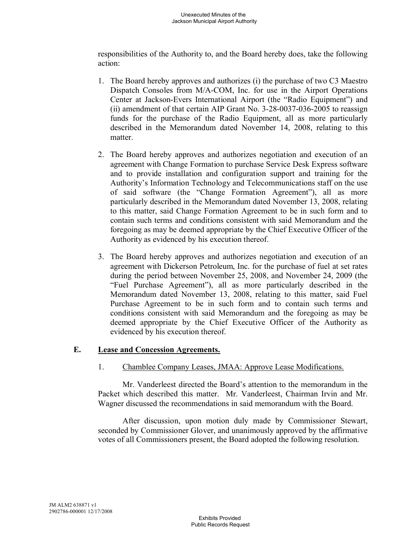responsibilities of the Authority to, and the Board hereby does, take the following action:

- 1. The Board hereby approves and authorizes (i) the purchase of two C3 Maestro Dispatch Consoles from M/A-COM, Inc. for use in the Airport Operations Center at Jackson-Evers International Airport (the "Radio Equipment") and (ii) amendment of that certain AIP Grant No. 3-28-0037-036-2005 to reassign funds for the purchase of the Radio Equipment, all as more particularly described in the Memorandum dated November 14, 2008, relating to this matter
- 2. The Board hereby approves and authorizes negotiation and execution of an agreement with Change Formation to purchase Service Desk Express software and to provide installation and configuration support and training for the Authority's Information Technology and Telecommunications staff on the use of said software (the "Change Formation Agreement"), all as more particularly described in the Memorandum dated November 13, 2008, relating to this matter, said Change Formation Agreement to be in such form and to contain such terms and conditions consistent with said Memorandum and the foregoing as may be deemed appropriate by the Chief Executive Officer of the Authority as evidenced by his execution thereof.
- 3. The Board hereby approves and authorizes negotiation and execution of an agreement with Dickerson Petroleum, Inc. for the purchase of fuel at set rates during the period between November 25, 2008, and November 24, 2009 (the "Fuel Purchase Agreement"), all as more particularly described in the Memorandum dated November 13, 2008, relating to this matter, said Fuel Purchase Agreement to be in such form and to contain such terms and conditions consistent with said Memorandum and the foregoing as may be deemed appropriate by the Chief Executive Officer of the Authority as evidenced by his execution thereof.

# **E. Lease and Concession Agreements.**

# 1. Chamblee Company Leases, JMAA: Approve Lease Modifications.

Mr. Vanderleest directed the Board's attention to the memorandum in the Packet which described this matter. Mr. Vanderleest, Chairman Irvin and Mr. Wagner discussed the recommendations in said memorandum with the Board.

After discussion, upon motion duly made by Commissioner Stewart, seconded by Commissioner Glover, and unanimously approved by the affirmative votes of all Commissioners present, the Board adopted the following resolution.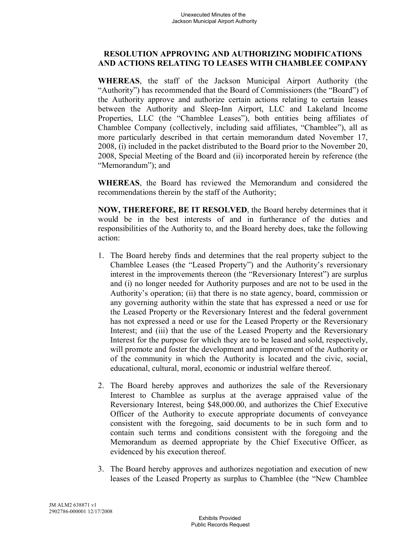# **RESOLUTION APPROVING AND AUTHORIZING MODIFICATIONS AND ACTIONS RELATING TO LEASES WITH CHAMBLEE COMPANY**

**WHEREAS**, the staff of the Jackson Municipal Airport Authority (the "Authority") has recommended that the Board of Commissioners (the "Board") of the Authority approve and authorize certain actions relating to certain leases between the Authority and Sleep-Inn Airport, LLC and Lakeland Income Properties, LLC (the "Chamblee Leases"), both entities being affiliates of Chamblee Company (collectively, including said affiliates, "Chamblee"), all as more particularly described in that certain memorandum dated November 17, 2008, (i) included in the packet distributed to the Board prior to the November 20, 2008, Special Meeting of the Board and (ii) incorporated herein by reference (the "Memorandum"); and

**WHEREAS**, the Board has reviewed the Memorandum and considered the recommendations therein by the staff of the Authority;

**NOW, THEREFORE, BE IT RESOLVED**, the Board hereby determines that it would be in the best interests of and in furtherance of the duties and responsibilities of the Authority to, and the Board hereby does, take the following action:

- 1. The Board hereby finds and determines that the real property subject to the Chamblee Leases (the "Leased Property") and the Authority's reversionary interest in the improvements thereon (the "Reversionary Interest") are surplus and (i) no longer needed for Authority purposes and are not to be used in the Authority's operation; (ii) that there is no state agency, board, commission or any governing authority within the state that has expressed a need or use for the Leased Property or the Reversionary Interest and the federal government has not expressed a need or use for the Leased Property or the Reversionary Interest; and (iii) that the use of the Leased Property and the Reversionary Interest for the purpose for which they are to be leased and sold, respectively, will promote and foster the development and improvement of the Authority or of the community in which the Authority is located and the civic, social, educational, cultural, moral, economic or industrial welfare thereof.
- 2. The Board hereby approves and authorizes the sale of the Reversionary Interest to Chamblee as surplus at the average appraised value of the Reversionary Interest, being \$48,000.00, and authorizes the Chief Executive Officer of the Authority to execute appropriate documents of conveyance consistent with the foregoing, said documents to be in such form and to contain such terms and conditions consistent with the foregoing and the Memorandum as deemed appropriate by the Chief Executive Officer, as evidenced by his execution thereof.
- 3. The Board hereby approves and authorizes negotiation and execution of new leases of the Leased Property as surplus to Chamblee (the "New Chamblee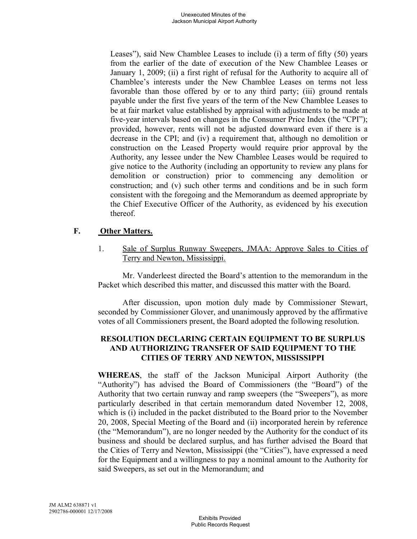Leases"), said New Chamblee Leases to include (i) a term of fifty (50) years from the earlier of the date of execution of the New Chamblee Leases or January 1, 2009; (ii) a first right of refusal for the Authority to acquire all of Chamblee's interests under the New Chamblee Leases on terms not less favorable than those offered by or to any third party; (iii) ground rentals payable under the first five years of the term of the New Chamblee Leases to be at fair market value established by appraisal with adjustments to be made at five-year intervals based on changes in the Consumer Price Index (the "CPI"); provided, however, rents will not be adjusted downward even if there is a decrease in the CPI; and (iv) a requirement that, although no demolition or construction on the Leased Property would require prior approval by the Authority, any lessee under the New Chamblee Leases would be required to give notice to the Authority (including an opportunity to review any plans for demolition or construction) prior to commencing any demolition or construction; and (v) such other terms and conditions and be in such form consistent with the foregoing and the Memorandum as deemed appropriate by the Chief Executive Officer of the Authority, as evidenced by his execution thereof.

# **F. Other Matters.**

1. Sale of Surplus Runway Sweepers, JMAA: Approve Sales to Cities of Terry and Newton, Mississippi.

Mr. Vanderleest directed the Board's attention to the memorandum in the Packet which described this matter, and discussed this matter with the Board.

After discussion, upon motion duly made by Commissioner Stewart, seconded by Commissioner Glover, and unanimously approved by the affirmative votes of all Commissioners present, the Board adopted the following resolution.

# **RESOLUTION DECLARING CERTAIN EQUIPMENT TO BE SURPLUS AND AUTHORIZING TRANSFER OF SAID EQUIPMENT TO THE CITIES OF TERRY AND NEWTON, MISSISSIPPI**

**WHEREAS**, the staff of the Jackson Municipal Airport Authority (the "Authority") has advised the Board of Commissioners (the "Board") of the Authority that two certain runway and ramp sweepers (the "Sweepers"), as more particularly described in that certain memorandum dated November 12, 2008, which is (i) included in the packet distributed to the Board prior to the November 20, 2008, Special Meeting of the Board and (ii) incorporated herein by reference (the "Memorandum"), are no longer needed by the Authority for the conduct of its business and should be declared surplus, and has further advised the Board that the Cities of Terry and Newton, Mississippi (the "Cities"), have expressed a need for the Equipment and a willingness to pay a nominal amount to the Authority for said Sweepers, as set out in the Memorandum; and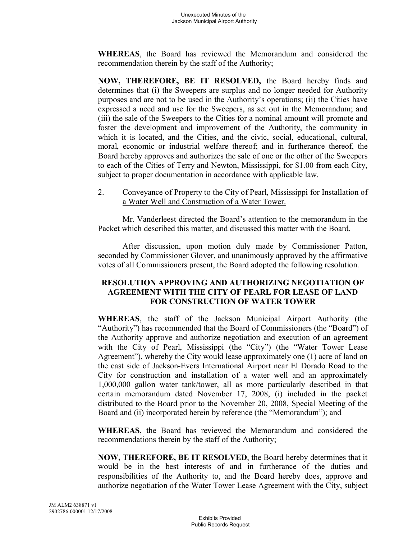**WHEREAS**, the Board has reviewed the Memorandum and considered the recommendation therein by the staff of the Authority;

**NOW, THEREFORE, BE IT RESOLVED,** the Board hereby finds and determines that (i) the Sweepers are surplus and no longer needed for Authority purposes and are not to be used in the Authority's operations; (ii) the Cities have expressed a need and use for the Sweepers, as set out in the Memorandum; and (iii) the sale of the Sweepers to the Cities for a nominal amount will promote and foster the development and improvement of the Authority, the community in which it is located, and the Cities, and the civic, social, educational, cultural, moral, economic or industrial welfare thereof; and in furtherance thereof, the Board hereby approves and authorizes the sale of one or the other of the Sweepers to each of the Cities of Terry and Newton, Mississippi, for \$1.00 from each City, subject to proper documentation in accordance with applicable law.

2. Conveyance of Property to the City of Pearl, Mississippi for Installation of a Water Well and Construction of a Water Tower.

Mr. Vanderleest directed the Board's attention to the memorandum in the Packet which described this matter, and discussed this matter with the Board.

After discussion, upon motion duly made by Commissioner Patton, seconded by Commissioner Glover, and unanimously approved by the affirmative votes of all Commissioners present, the Board adopted the following resolution.

# **RESOLUTION APPROVING AND AUTHORIZING NEGOTIATION OF AGREEMENT WITH THE CITY OF PEARL FOR LEASE OF LAND FOR CONSTRUCTION OF WATER TOWER**

**WHEREAS**, the staff of the Jackson Municipal Airport Authority (the "Authority") has recommended that the Board of Commissioners (the "Board") of the Authority approve and authorize negotiation and execution of an agreement with the City of Pearl, Mississippi (the "City") (the "Water Tower Lease Agreement"), whereby the City would lease approximately one (1) acre of land on the east side of Jackson-Evers International Airport near El Dorado Road to the City for construction and installation of a water well and an approximately 1,000,000 gallon water tank/tower, all as more particularly described in that certain memorandum dated November 17, 2008, (i) included in the packet distributed to the Board prior to the November 20, 2008, Special Meeting of the Board and (ii) incorporated herein by reference (the "Memorandum"); and

**WHEREAS**, the Board has reviewed the Memorandum and considered the recommendations therein by the staff of the Authority;

**NOW, THEREFORE, BE IT RESOLVED**, the Board hereby determines that it would be in the best interests of and in furtherance of the duties and responsibilities of the Authority to, and the Board hereby does, approve and authorize negotiation of the Water Tower Lease Agreement with the City, subject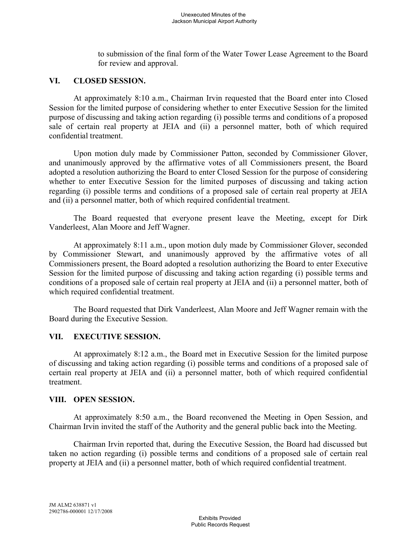to submission of the final form of the Water Tower Lease Agreement to the Board for review and approval.

### **VI. CLOSED SESSION.**

At approximately 8:10 a.m., Chairman Irvin requested that the Board enter into Closed Session for the limited purpose of considering whether to enter Executive Session for the limited purpose of discussing and taking action regarding (i) possible terms and conditions of a proposed sale of certain real property at JEIA and (ii) a personnel matter, both of which required confidential treatment.

Upon motion duly made by Commissioner Patton, seconded by Commissioner Glover, and unanimously approved by the affirmative votes of all Commissioners present, the Board adopted a resolution authorizing the Board to enter Closed Session for the purpose of considering whether to enter Executive Session for the limited purposes of discussing and taking action regarding (i) possible terms and conditions of a proposed sale of certain real property at JEIA and (ii) a personnel matter, both of which required confidential treatment.

The Board requested that everyone present leave the Meeting, except for Dirk Vanderleest, Alan Moore and Jeff Wagner.

At approximately 8:11 a.m., upon motion duly made by Commissioner Glover, seconded by Commissioner Stewart, and unanimously approved by the affirmative votes of all Commissioners present, the Board adopted a resolution authorizing the Board to enter Executive Session for the limited purpose of discussing and taking action regarding (i) possible terms and conditions of a proposed sale of certain real property at JEIA and (ii) a personnel matter, both of which required confidential treatment.

The Board requested that Dirk Vanderleest, Alan Moore and Jeff Wagner remain with the Board during the Executive Session.

#### **VII. EXECUTIVE SESSION.**

At approximately 8:12 a.m., the Board met in Executive Session for the limited purpose of discussing and taking action regarding (i) possible terms and conditions of a proposed sale of certain real property at JEIA and (ii) a personnel matter, both of which required confidential treatment.

#### **VIII. OPEN SESSION.**

At approximately 8:50 a.m., the Board reconvened the Meeting in Open Session, and Chairman Irvin invited the staff of the Authority and the general public back into the Meeting.

Chairman Irvin reported that, during the Executive Session, the Board had discussed but taken no action regarding (i) possible terms and conditions of a proposed sale of certain real property at JEIA and (ii) a personnel matter, both of which required confidential treatment.